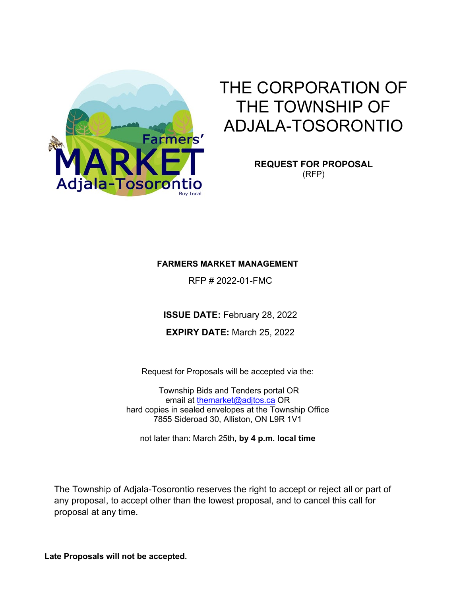

# THE CORPORATION OF THE TOWNSHIP OF ADJALA-TOSORONTIO

**REQUEST FOR PROPOSAL** (RFP)

## **FARMERS MARKET MANAGEMENT**

RFP # 2022-01-FMC

**ISSUE DATE:** February 28, 2022

**EXPIRY DATE:** March 25, 2022

Request for Proposals will be accepted via the:

Township Bids and Tenders portal OR email at [themarket@adjtos.ca](mailto:themarket@adjtos.ca) OR hard copies in sealed envelopes at the Township Office 7855 Sideroad 30, Alliston, ON L9R 1V1

not later than: March 25th**, by 4 p.m. local time**

The Township of Adjala-Tosorontio reserves the right to accept or reject all or part of any proposal, to accept other than the lowest proposal, and to cancel this call for proposal at any time.

**Late Proposals will not be accepted.**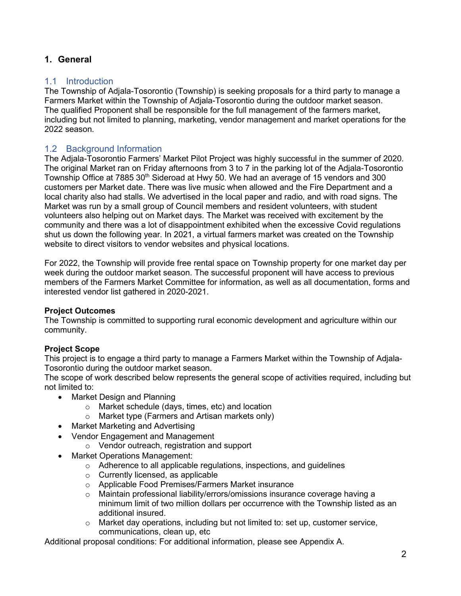# **1. General**

## 1.1 Introduction

The Township of Adjala-Tosorontio (Township) is seeking proposals for a third party to manage a Farmers Market within the Township of Adjala-Tosorontio during the outdoor market season. The qualified Proponent shall be responsible for the full management of the farmers market, including but not limited to planning, marketing, vendor management and market operations for the 2022 season.

# 1.2 Background Information

The Adjala-Tosorontio Farmers' Market Pilot Project was highly successful in the summer of 2020. The original Market ran on Friday afternoons from 3 to 7 in the parking lot of the Adjala-Tosorontio Township Office at 7885 30<sup>th</sup> Sideroad at Hwy 50. We had an average of 15 vendors and 300 customers per Market date. There was live music when allowed and the Fire Department and a local charity also had stalls. We advertised in the local paper and radio, and with road signs. The Market was run by a small group of Council members and resident volunteers, with student volunteers also helping out on Market days. The Market was received with excitement by the community and there was a lot of disappointment exhibited when the excessive Covid regulations shut us down the following year. In 2021, a virtual farmers market was created on the Township website to direct visitors to vendor websites and physical locations.

For 2022, the Township will provide free rental space on Township property for one market day per week during the outdoor market season. The successful proponent will have access to previous members of the Farmers Market Committee for information, as well as all documentation, forms and interested vendor list gathered in 2020-2021.

## **Project Outcomes**

The Township is committed to supporting rural economic development and agriculture within our community.

# **Project Scope**

This project is to engage a third party to manage a Farmers Market within the Township of Adjala-Tosorontio during the outdoor market season.

The scope of work described below represents the general scope of activities required, including but not limited to:

- Market Design and Planning
	- o Market schedule (days, times, etc) and location
	- o Market type (Farmers and Artisan markets only)
- Market Marketing and Advertising
- Vendor Engagement and Management
	- o Vendor outreach, registration and support
- Market Operations Management:
	- o Adherence to all applicable regulations, inspections, and guidelines
	- o Currently licensed, as applicable
	- o Applicable Food Premises/Farmers Market insurance
	- o Maintain professional liability/errors/omissions insurance coverage having a minimum limit of two million dollars per occurrence with the Township listed as an additional insured.
	- $\circ$  Market day operations, including but not limited to: set up, customer service, communications, clean up, etc

Additional proposal conditions: For additional information, please see Appendix A.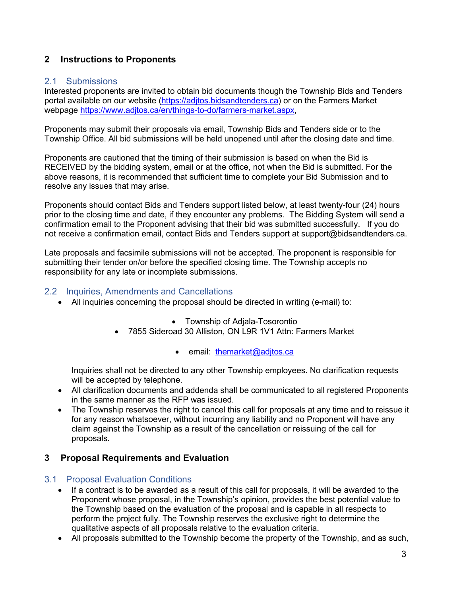# **2 Instructions to Proponents**

#### 2.1 Submissions

Interested proponents are invited to obtain bid documents though the Township Bids and Tenders portal available on our website (https://aditos.bidsandtenders.ca) or on the Farmers Market webpage [https://www.adjtos.ca/en/things-to-do/farmers-market.aspx,](https://www.adjtos.ca/en/things-to-do/farmers-market.aspx)

Proponents may submit their proposals via email, Township Bids and Tenders side or to the Township Office. All bid submissions will be held unopened until after the closing date and time.

Proponents are cautioned that the timing of their submission is based on when the Bid is RECEIVED by the bidding system, email or at the office, not when the Bid is submitted. For the above reasons, it is recommended that sufficient time to complete your Bid Submission and to resolve any issues that may arise.

Proponents should contact Bids and Tenders support listed below, at least twenty-four (24) hours prior to the closing time and date, if they encounter any problems. The Bidding System will send a confirmation email to the Proponent advising that their bid was submitted successfully. If you do not receive a confirmation email, contact Bids and Tenders support at support@bidsandtenders.ca.

Late proposals and facsimile submissions will not be accepted. The proponent is responsible for submitting their tender on/or before the specified closing time. The Township accepts no responsibility for any late or incomplete submissions.

#### 2.2 Inquiries, Amendments and Cancellations

- All inquiries concerning the proposal should be directed in writing (e-mail) to:
	- Township of Adjala-Tosorontio
	- 7855 Sideroad 30 Alliston, ON L9R 1V1 Attn: Farmers Market
		- email: [themarket@adjtos.ca](mailto:themarket@adjtos.ca)

Inquiries shall not be directed to any other Township employees. No clarification requests will be accepted by telephone.

- All clarification documents and addenda shall be communicated to all registered Proponents in the same manner as the RFP was issued.
- The Township reserves the right to cancel this call for proposals at any time and to reissue it for any reason whatsoever, without incurring any liability and no Proponent will have any claim against the Township as a result of the cancellation or reissuing of the call for proposals.

## **3 Proposal Requirements and Evaluation**

#### 3.1 Proposal Evaluation Conditions

- If a contract is to be awarded as a result of this call for proposals, it will be awarded to the Proponent whose proposal, in the Township's opinion, provides the best potential value to the Township based on the evaluation of the proposal and is capable in all respects to perform the project fully. The Township reserves the exclusive right to determine the qualitative aspects of all proposals relative to the evaluation criteria.
- All proposals submitted to the Township become the property of the Township, and as such,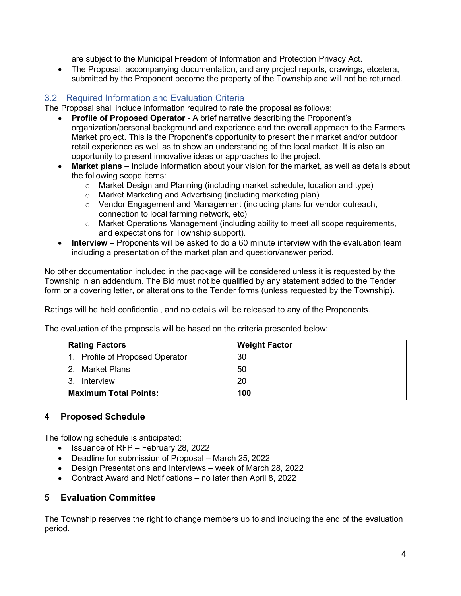are subject to the Municipal Freedom of Information and Protection Privacy Act.

• The Proposal, accompanying documentation, and any project reports, drawings, etcetera, submitted by the Proponent become the property of the Township and will not be returned.

## 3.2 Required Information and Evaluation Criteria

The Proposal shall include information required to rate the proposal as follows:

- **Profile of Proposed Operator** A brief narrative describing the Proponent's organization/personal background and experience and the overall approach to the Farmers Market project. This is the Proponent's opportunity to present their market and/or outdoor retail experience as well as to show an understanding of the local market. It is also an opportunity to present innovative ideas or approaches to the project.
- **Market plans** Include information about your vision for the market, as well as details about the following scope items:
	- $\circ$  Market Design and Planning (including market schedule, location and type)
	- o Market Marketing and Advertising (including marketing plan)
	- o Vendor Engagement and Management (including plans for vendor outreach, connection to local farming network, etc)
	- o Market Operations Management (including ability to meet all scope requirements, and expectations for Township support).
- **Interview** Proponents will be asked to do a 60 minute interview with the evaluation team including a presentation of the market plan and question/answer period.

No other documentation included in the package will be considered unless it is requested by the Township in an addendum. The Bid must not be qualified by any statement added to the Tender form or a covering letter, or alterations to the Tender forms (unless requested by the Township).

Ratings will be held confidential, and no details will be released to any of the Proponents.

The evaluation of the proposals will be based on the criteria presented below:

| <b>Rating Factors</b>           | <b>Weight Factor</b> |
|---------------------------------|----------------------|
| 1. Profile of Proposed Operator | 30                   |
| Market Plans                    | 50                   |
| Interview                       |                      |
| <b>Maximum Total Points:</b>    | 100                  |

## **4 Proposed Schedule**

The following schedule is anticipated:

- Issuance of RFP February 28, 2022
- Deadline for submission of Proposal March 25, 2022
- Design Presentations and Interviews week of March 28, 2022
- Contract Award and Notifications no later than April 8, 2022

## **5 Evaluation Committee**

The Township reserves the right to change members up to and including the end of the evaluation period.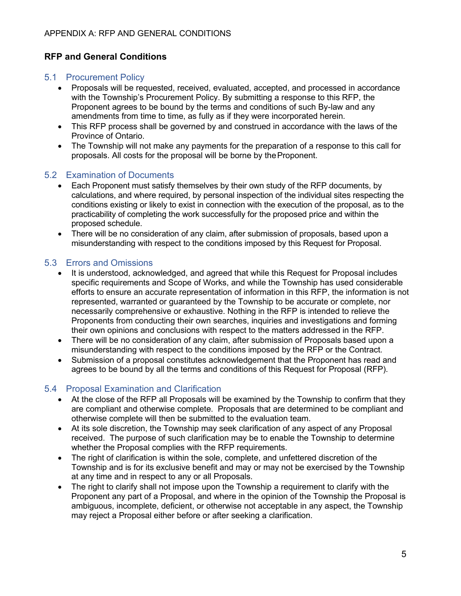# **RFP and General Conditions**

#### 5.1 Procurement Policy

- Proposals will be requested, received, evaluated, accepted, and processed in accordance with the Township's Procurement Policy. By submitting a response to this RFP, the Proponent agrees to be bound by the terms and conditions of such By-law and any amendments from time to time, as fully as if they were incorporated herein.
- This RFP process shall be governed by and construed in accordance with the laws of the Province of Ontario.
- The Township will not make any payments for the preparation of a response to this call for proposals. All costs for the proposal will be borne by theProponent.

#### 5.2 Examination of Documents

- Each Proponent must satisfy themselves by their own study of the RFP documents, by calculations, and where required, by personal inspection of the individual sites respecting the conditions existing or likely to exist in connection with the execution of the proposal, as to the practicability of completing the work successfully for the proposed price and within the proposed schedule.
- There will be no consideration of any claim, after submission of proposals, based upon a misunderstanding with respect to the conditions imposed by this Request for Proposal.

## 5.3 Errors and Omissions

- It is understood, acknowledged, and agreed that while this Request for Proposal includes specific requirements and Scope of Works, and while the Township has used considerable efforts to ensure an accurate representation of information in this RFP, the information is not represented, warranted or guaranteed by the Township to be accurate or complete, nor necessarily comprehensive or exhaustive. Nothing in the RFP is intended to relieve the Proponents from conducting their own searches, inquiries and investigations and forming their own opinions and conclusions with respect to the matters addressed in the RFP.
- There will be no consideration of any claim, after submission of Proposals based upon a misunderstanding with respect to the conditions imposed by the RFP or the Contract.
- Submission of a proposal constitutes acknowledgement that the Proponent has read and agrees to be bound by all the terms and conditions of this Request for Proposal (RFP).

## 5.4 Proposal Examination and Clarification

- At the close of the RFP all Proposals will be examined by the Township to confirm that they are compliant and otherwise complete. Proposals that are determined to be compliant and otherwise complete will then be submitted to the evaluation team.
- At its sole discretion, the Township may seek clarification of any aspect of any Proposal received. The purpose of such clarification may be to enable the Township to determine whether the Proposal complies with the RFP requirements.
- The right of clarification is within the sole, complete, and unfettered discretion of the Township and is for its exclusive benefit and may or may not be exercised by the Township at any time and in respect to any or all Proposals.
- The right to clarify shall not impose upon the Township a requirement to clarify with the Proponent any part of a Proposal, and where in the opinion of the Township the Proposal is ambiguous, incomplete, deficient, or otherwise not acceptable in any aspect, the Township may reject a Proposal either before or after seeking a clarification.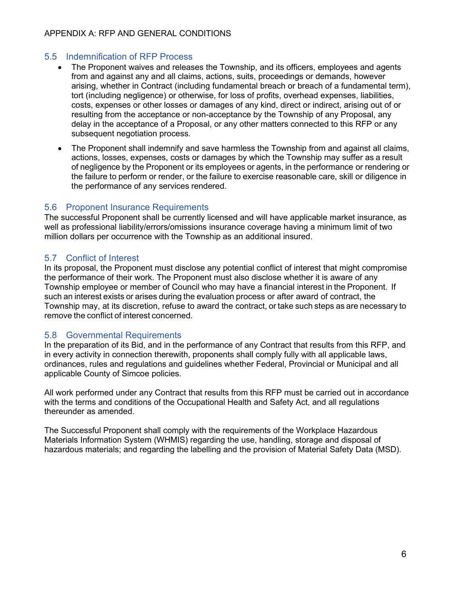## 5.5 Indemnification of RFP Process

- The Proponent waives and releases the Township, and its officers, employees and agents from and against any and all claims, actions, suits, proceedings or demands, however arising, whether in Contract (including fundamental breach or breach of a fundamental term), tort (including negligence) or otherwise, for loss of profits, overhead expenses, liabilities, costs, expenses or other losses or damages of any kind, direct or indirect, arising out of or resulting from the acceptance or non-acceptance by the Township of any Proposal, any delay in the acceptance of a Proposal, or any other matters connected to this RFP or any subsequent negotiation process.
- The Proponent shall indemnify and save harmless the Township from and against all claims, actions, losses, expenses, costs or damages by which the Township may suffer as a result of negligence by the Proponent or its employees or agents, in the performance or rendering or the failure to perform or render, or the failure to exercise reasonable care, skill or diligence in the performance of any services rendered.

## 5.6 Proponent Insurance Requirements

The successful Proponent shall be currently licensed and will have applicable market insurance, as well as professional liability/errors/omissions insurance coverage having a minimum limit of two million dollars per occurrence with the Township as an additional insured.

## 5.7 Conflict of Interest

In its proposal, the Proponent must disclose any potential conflict of interest that might compromise the performance of their work. The Proponent must also disclose whether it is aware of any Township employee or member of Council who may have a financial interest in the Proponent. If such an interest exists or arises during the evaluation process or after award of contract, the Township may, at its discretion, refuse to award the contract, or take such steps as are necessary to remove the conflict of interest concerned.

## 5.8 Governmental Requirements

In the preparation of its Bid, and in the performance of any Contract that results from this RFP, and in every activity in connection therewith, proponents shall comply fully with all applicable laws, ordinances, rules and regulations and guidelines whether Federal, Provincial or Municipal and all applicable County of Simcoe policies.

All work performed under any Contract that results from this RFP must be carried out in accordance with the terms and conditions of the Occupational Health and Safety Act, and all regulations thereunder as amended.

The Successful Proponent shall comply with the requirements of the Workplace Hazardous Materials Information System (WHMIS) regarding the use, handling, storage and disposal of hazardous materials; and regarding the labelling and the provision of Material Safety Data (MSD).